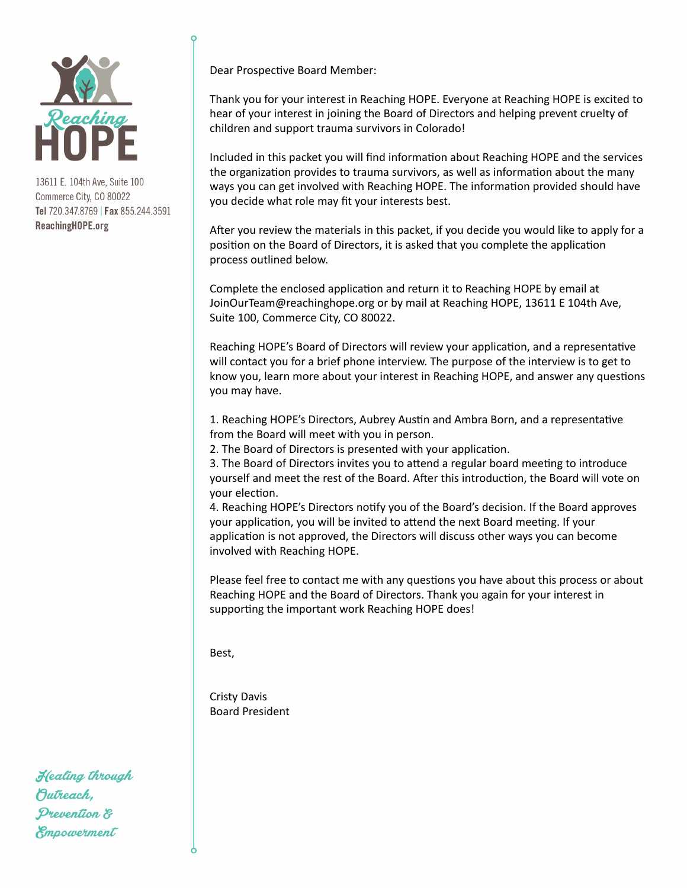

Dear Prospective Board Member:

Thank you for your interest in Reaching HOPE. Everyone at Reaching HOPE is excited to hear of your interest in joining the Board of Directors and helping prevent cruelty of children and support trauma survivors in Colorado!

Included in this packet you will find information about Reaching HOPE and the services the organization provides to trauma survivors, as well as information about the many ways you can get involved with Reaching HOPE. The information provided should have you decide what role may fit your interests best.

After you review the materials in this packet, if you decide you would like to apply for a position on the Board of Directors, it is asked that you complete the application process outlined below.

Complete the enclosed application and return it to Reaching HOPE by email at JoinOurTeam@reachinghope.org or by mail at Reaching HOPE, 13611 E 104th Ave, Suite 100, Commerce City, CO 80022.

Reaching HOPE's Board of Directors will review your application, and a representative will contact you for a brief phone interview. The purpose of the interview is to get to know you, learn more about your interest in Reaching HOPE, and answer any questions you may have.

1. Reaching HOPE's Directors, Aubrey Austin and Ambra Born, and a representative from the Board will meet with you in person.

2. The Board of Directors is presented with your application.

3. The Board of Directors invites you to attend a regular board meeting to introduce yourself and meet the rest of the Board. After this introduction, the Board will vote on your election.

4. Reaching HOPE's Directors notify you of the Board's decision. If the Board approves your application, you will be invited to attend the next Board meeting. If your application is not approved, the Directors will discuss other ways you can become involved with Reaching HOPE.

Please feel free to contact me with any questions you have about this process or about Reaching HOPE and the Board of Directors. Thank you again for your interest in supporting the important work Reaching HOPE does!

Best, 

Cristy Davis Board President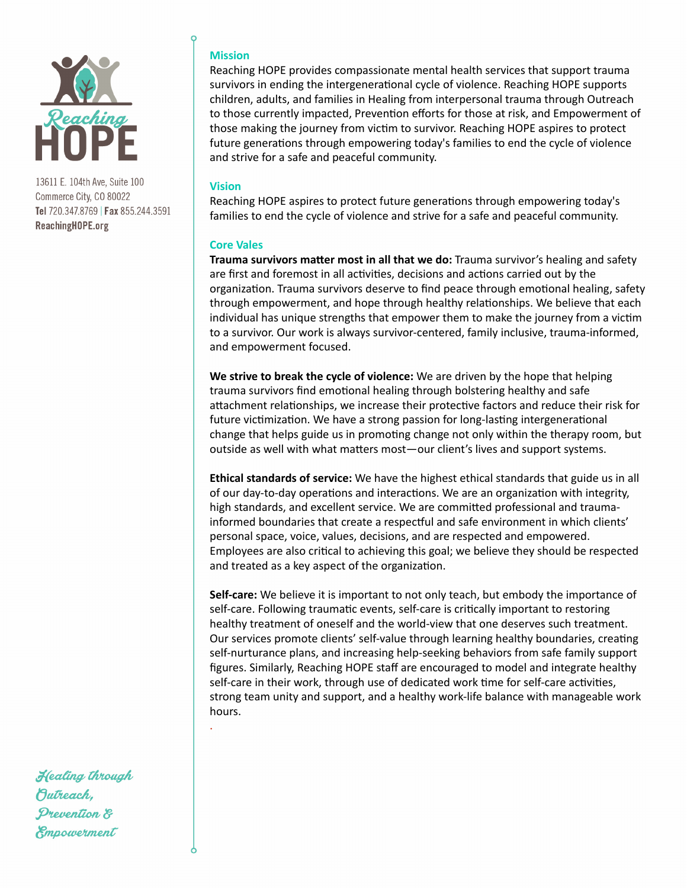

### **Mission**

Reaching HOPE provides compassionate mental health services that support trauma survivors in ending the intergenerational cycle of violence. Reaching HOPE supports children, adults, and families in Healing from interpersonal trauma through Outreach to those currently impacted, Prevention efforts for those at risk, and Empowerment of those making the journey from victim to survivor. Reaching HOPE aspires to protect future generations through empowering today's families to end the cycle of violence and strive for a safe and peaceful community.

### **Vision**

. 

Reaching HOPE aspires to protect future generations through empowering today's families to end the cycle of violence and strive for a safe and peaceful community.

#### **Core Vales**

**Trauma survivors matter most in all that we do:** Trauma survivor's healing and safety are first and foremost in all activities, decisions and actions carried out by the organization. Trauma survivors deserve to find peace through emotional healing, safety through empowerment, and hope through healthy relationships. We believe that each individual has unique strengths that empower them to make the journey from a victim to a survivor. Our work is always survivor-centered, family inclusive, trauma-informed, and empowerment focused.

We strive to break the cycle of violence: We are driven by the hope that helping trauma survivors find emotional healing through bolstering healthy and safe attachment relationships, we increase their protective factors and reduce their risk for future victimization. We have a strong passion for long-lasting intergenerational change that helps guide us in promoting change not only within the therapy room, but outside as well with what matters most-our client's lives and support systems.

**Ethical standards of service:** We have the highest ethical standards that guide us in all of our day-to-day operations and interactions. We are an organization with integrity, high standards, and excellent service. We are committed professional and traumainformed boundaries that create a respectful and safe environment in which clients' personal space, voice, values, decisions, and are respected and empowered. Employees are also critical to achieving this goal; we believe they should be respected and treated as a key aspect of the organization.

**Self-care:** We believe it is important to not only teach, but embody the importance of self-care. Following traumatic events, self-care is critically important to restoring healthy treatment of oneself and the world-view that one deserves such treatment. Our services promote clients' self-value through learning healthy boundaries, creating self-nurturance plans, and increasing help-seeking behaviors from safe family support figures. Similarly, Reaching HOPE staff are encouraged to model and integrate healthy self-care in their work, through use of dedicated work time for self-care activities, strong team unity and support, and a healthy work-life balance with manageable work hours.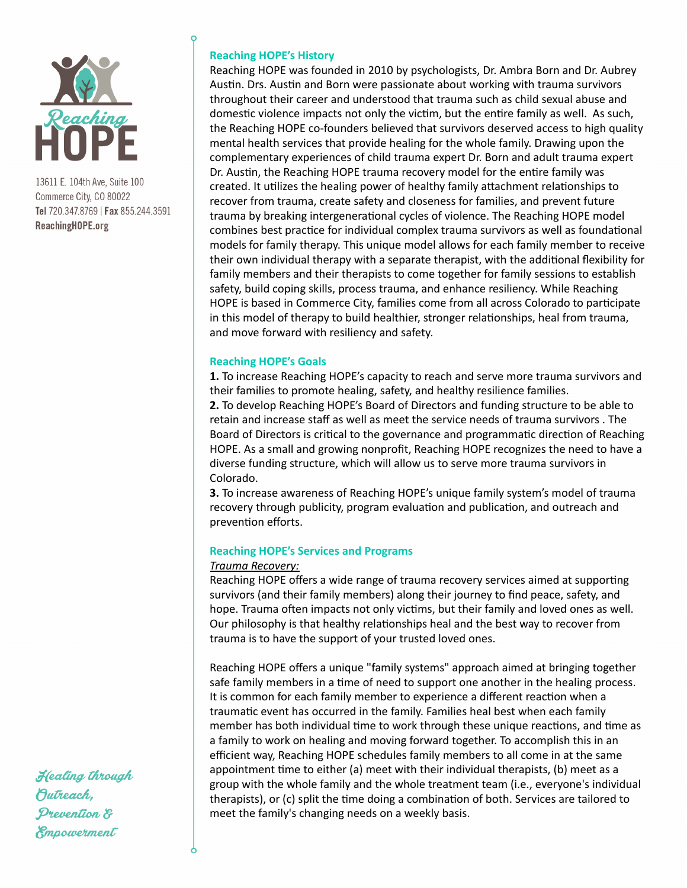

## **Reaching HOPE's History**

Reaching HOPE was founded in 2010 by psychologists, Dr. Ambra Born and Dr. Aubrey Austin. Drs. Austin and Born were passionate about working with trauma survivors throughout their career and understood that trauma such as child sexual abuse and domestic violence impacts not only the victim, but the entire family as well. As such, the Reaching HOPE co-founders believed that survivors deserved access to high quality mental health services that provide healing for the whole family. Drawing upon the complementary experiences of child trauma expert Dr. Born and adult trauma expert Dr. Austin, the Reaching HOPE trauma recovery model for the entire family was created. It utilizes the healing power of healthy family attachment relationships to recover from trauma, create safety and closeness for families, and prevent future trauma by breaking intergenerational cycles of violence. The Reaching HOPE model combines best practice for individual complex trauma survivors as well as foundational models for family therapy. This unique model allows for each family member to receive their own individual therapy with a separate therapist, with the additional flexibility for family members and their therapists to come together for family sessions to establish safety, build coping skills, process trauma, and enhance resiliency. While Reaching HOPE is based in Commerce City, families come from all across Colorado to participate in this model of therapy to build healthier, stronger relationships, heal from trauma, and move forward with resiliency and safety.

### **Reaching HOPE's Goals**

**1.** To increase Reaching HOPE's capacity to reach and serve more trauma survivors and their families to promote healing, safety, and healthy resilience families. **2.** To develop Reaching HOPE's Board of Directors and funding structure to be able to retain and increase staff as well as meet the service needs of trauma survivors . The Board of Directors is critical to the governance and programmatic direction of Reaching HOPE. As a small and growing nonprofit, Reaching HOPE recognizes the need to have a diverse funding structure, which will allow us to serve more trauma survivors in

**3.** To increase awareness of Reaching HOPE's unique family system's model of trauma recovery through publicity, program evaluation and publication, and outreach and prevention efforts.

## **Reaching HOPE's Services and Programs**

### *Trauma Recovery:*

Colorado. 

Reaching HOPE offers a wide range of trauma recovery services aimed at supporting survivors (and their family members) along their journey to find peace, safety, and hope. Trauma often impacts not only victims, but their family and loved ones as well. Our philosophy is that healthy relationships heal and the best way to recover from trauma is to have the support of your trusted loved ones.

Reaching HOPE offers a unique "family systems" approach aimed at bringing together safe family members in a time of need to support one another in the healing process. It is common for each family member to experience a different reaction when a traumatic event has occurred in the family. Families heal best when each family member has both individual time to work through these unique reactions, and time as a family to work on healing and moving forward together. To accomplish this in an efficient way, Reaching HOPE schedules family members to all come in at the same appointment time to either (a) meet with their individual therapists, (b) meet as a group with the whole family and the whole treatment team (i.e., everyone's individual therapists), or (c) split the time doing a combination of both. Services are tailored to meet the family's changing needs on a weekly basis.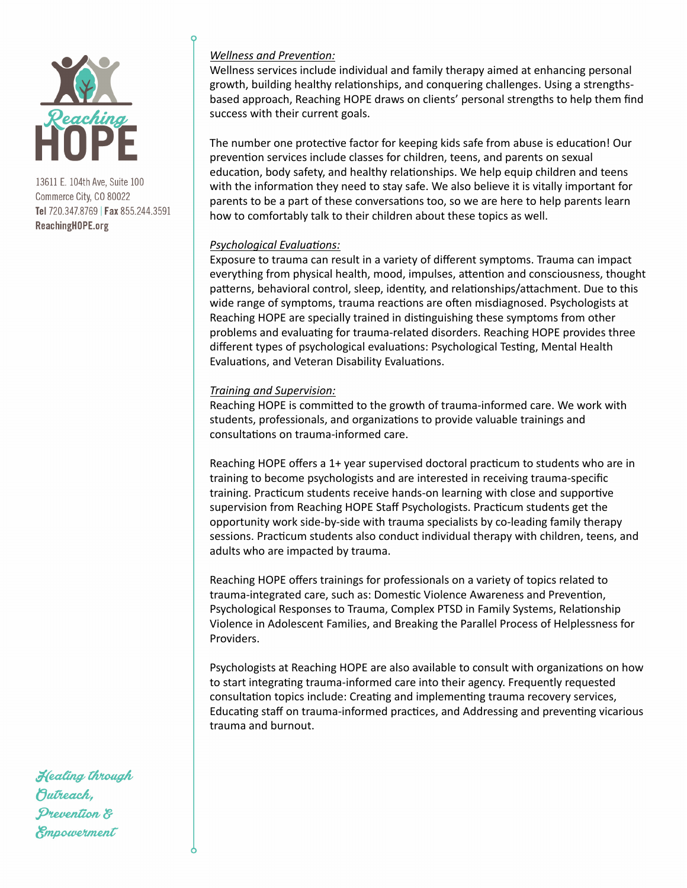

## *Wellness and Prevention:*

Wellness services include individual and family therapy aimed at enhancing personal growth, building healthy relationships, and conquering challenges. Using a strengthsbased approach, Reaching HOPE draws on clients' personal strengths to help them find success with their current goals.

The number one protective factor for keeping kids safe from abuse is education! Our prevention services include classes for children, teens, and parents on sexual education, body safety, and healthy relationships. We help equip children and teens with the information they need to stay safe. We also believe it is vitally important for parents to be a part of these conversations too, so we are here to help parents learn how to comfortably talk to their children about these topics as well.

## *Psychological Evaluations:*

Exposure to trauma can result in a variety of different symptoms. Trauma can impact everything from physical health, mood, impulses, attention and consciousness, thought patterns, behavioral control, sleep, identity, and relationships/attachment. Due to this wide range of symptoms, trauma reactions are often misdiagnosed. Psychologists at Reaching HOPE are specially trained in distinguishing these symptoms from other problems and evaluating for trauma-related disorders. Reaching HOPE provides three different types of psychological evaluations: Psychological Testing, Mental Health Evaluations, and Veteran Disability Evaluations.

### *Training and Supervision:*

Reaching HOPE is committed to the growth of trauma-informed care. We work with students, professionals, and organizations to provide valuable trainings and consultations on trauma-informed care.

Reaching HOPE offers a 1+ year supervised doctoral practicum to students who are in training to become psychologists and are interested in receiving trauma-specific training. Practicum students receive hands-on learning with close and supportive supervision from Reaching HOPE Staff Psychologists. Practicum students get the opportunity work side-by-side with trauma specialists by co-leading family therapy sessions. Practicum students also conduct individual therapy with children, teens, and adults who are impacted by trauma.

Reaching HOPE offers trainings for professionals on a variety of topics related to trauma-integrated care, such as: Domestic Violence Awareness and Prevention, Psychological Responses to Trauma, Complex PTSD in Family Systems, Relationship Violence in Adolescent Families, and Breaking the Parallel Process of Helplessness for Providers. 

Psychologists at Reaching HOPE are also available to consult with organizations on how to start integrating trauma-informed care into their agency. Frequently requested consultation topics include: Creating and implementing trauma recovery services, Educating staff on trauma-informed practices, and Addressing and preventing vicarious trauma and burnout.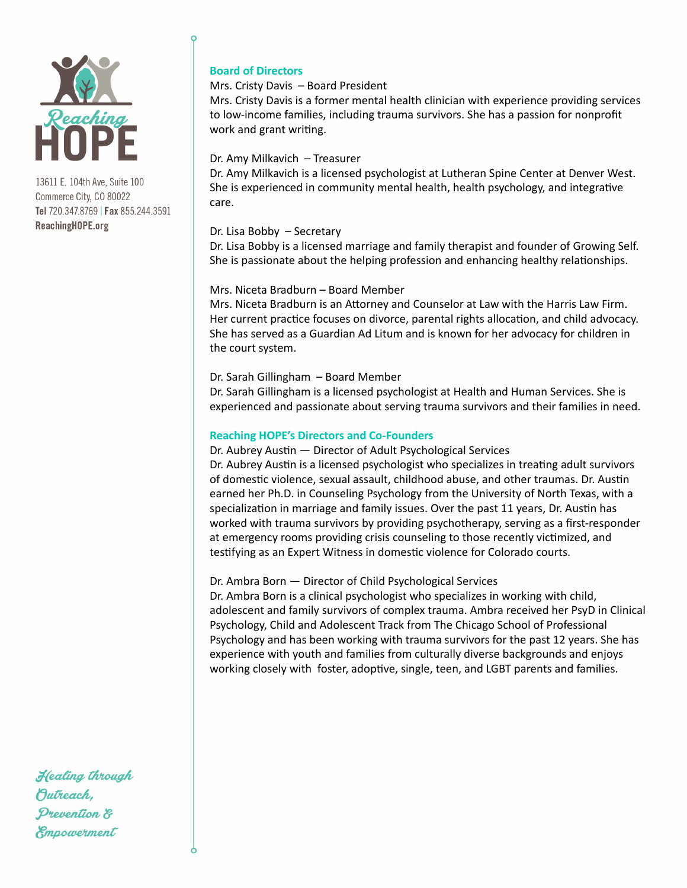

## **Board of Directors**

### Mrs. Cristy Davis  $-$  Board President

Mrs. Cristy Davis is a former mental health clinician with experience providing services to low-income families, including trauma survivors. She has a passion for nonprofit work and grant writing.

### Dr. Amy Milkavich - Treasurer

Dr. Amy Milkavich is a licensed psychologist at Lutheran Spine Center at Denver West. She is experienced in community mental health, health psychology, and integrative care. 

### Dr. Lisa Bobby  $-$  Secretary

Dr. Lisa Bobby is a licensed marriage and family therapist and founder of Growing Self. She is passionate about the helping profession and enhancing healthy relationships.

### Mrs. Niceta Bradburn - Board Member

Mrs. Niceta Bradburn is an Attorney and Counselor at Law with the Harris Law Firm. Her current practice focuses on divorce, parental rights allocation, and child advocacy. She has served as a Guardian Ad Litum and is known for her advocacy for children in the court system.

### Dr. Sarah Gillingham - Board Member

Dr. Sarah Gillingham is a licensed psychologist at Health and Human Services. She is experienced and passionate about serving trauma survivors and their families in need.

### **Reaching HOPE's Directors and Co-Founders**

Dr. Aubrey Austin - Director of Adult Psychological Services Dr. Aubrey Austin is a licensed psychologist who specializes in treating adult survivors of domestic violence, sexual assault, childhood abuse, and other traumas. Dr. Austin earned her Ph.D. in Counseling Psychology from the University of North Texas, with a specialization in marriage and family issues. Over the past 11 years, Dr. Austin has worked with trauma survivors by providing psychotherapy, serving as a first-responder at emergency rooms providing crisis counseling to those recently victimized, and testifying as an Expert Witness in domestic violence for Colorado courts.

### Dr. Ambra Born — Director of Child Psychological Services

Dr. Ambra Born is a clinical psychologist who specializes in working with child, adolescent and family survivors of complex trauma. Ambra received her PsyD in Clinical Psychology, Child and Adolescent Track from The Chicago School of Professional Psychology and has been working with trauma survivors for the past 12 years. She has experience with youth and families from culturally diverse backgrounds and enjoys working closely with foster, adoptive, single, teen, and LGBT parents and families.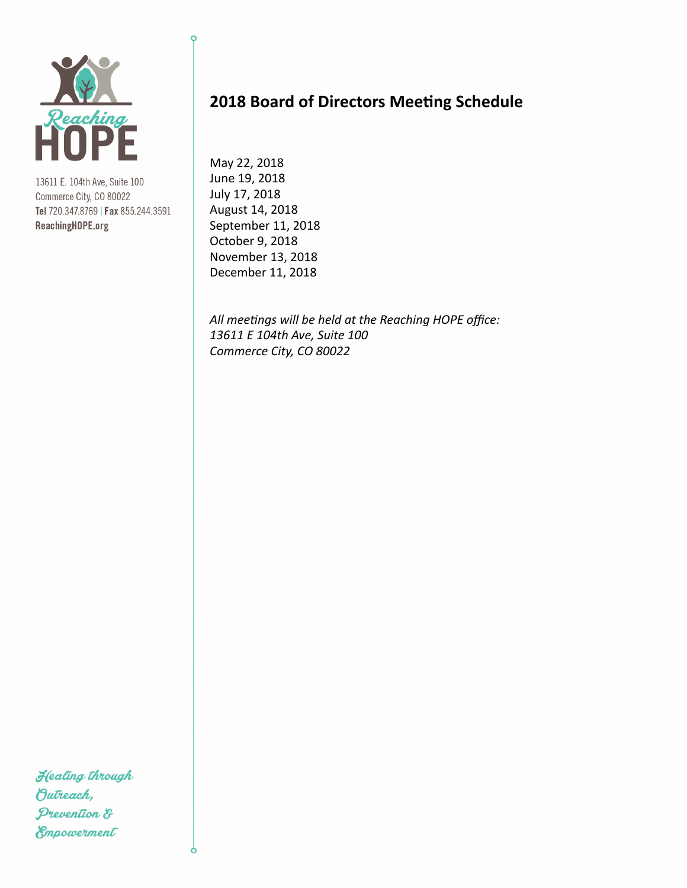

# **2018 Board of Directors Meeting Schedule**

May 22, 2018 June 19, 2018 July 17, 2018 August 14, 2018 September 11, 2018 October 9, 2018 November 13, 2018 December 11, 2018

All meetings will be held at the Reaching HOPE office: *13611 E 104th Ave, Suite 100 Commerce City, CO 80022*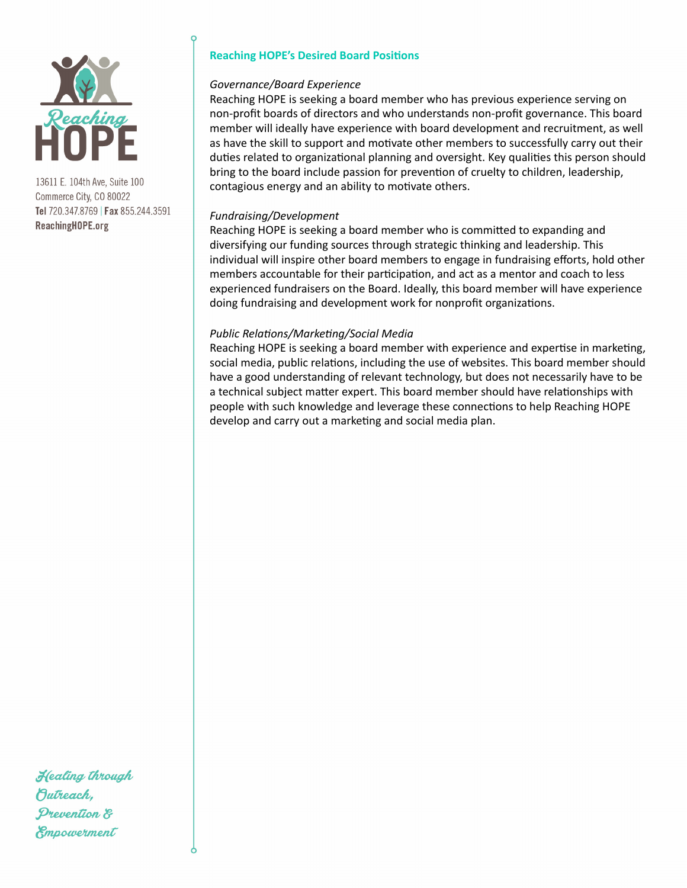

## **Reaching HOPE's Desired Board Positions**

### Governance/Board Experience

Reaching HOPE is seeking a board member who has previous experience serving on non-profit boards of directors and who understands non-profit governance. This board member will ideally have experience with board development and recruitment, as well as have the skill to support and motivate other members to successfully carry out their duties related to organizational planning and oversight. Key qualities this person should bring to the board include passion for prevention of cruelty to children, leadership, contagious energy and an ability to motivate others.

### *Fundraising/Development*

Reaching HOPE is seeking a board member who is committed to expanding and diversifying our funding sources through strategic thinking and leadership. This individual will inspire other board members to engage in fundraising efforts, hold other members accountable for their participation, and act as a mentor and coach to less experienced fundraisers on the Board. Ideally, this board member will have experience doing fundraising and development work for nonprofit organizations.

### *Public Relations/Marketing/Social Media*

Reaching HOPE is seeking a board member with experience and expertise in marketing, social media, public relations, including the use of websites. This board member should have a good understanding of relevant technology, but does not necessarily have to be a technical subject matter expert. This board member should have relationships with people with such knowledge and leverage these connections to help Reaching HOPE develop and carry out a marketing and social media plan.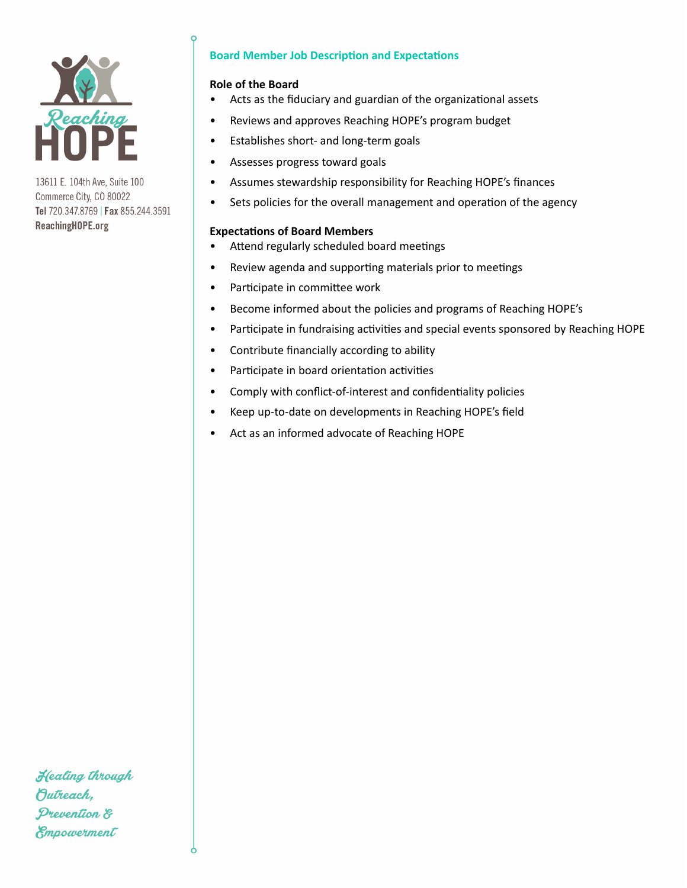

## **Board Member Job Description and Expectations**

### **Role of the Board**

- Acts as the fiduciary and guardian of the organizational assets
- Reviews and approves Reaching HOPE's program budget
- Establishes short- and long-term goals
- Assesses progress toward goals
- Assumes stewardship responsibility for Reaching HOPE's finances
- Sets policies for the overall management and operation of the agency

### **Expectations of Board Members**

- Attend regularly scheduled board meetings
- Review agenda and supporting materials prior to meetings
- Participate in committee work
- Become informed about the policies and programs of Reaching HOPE's
- Participate in fundraising activities and special events sponsored by Reaching HOPE
- Contribute financially according to ability
- Participate in board orientation activities
- Comply with conflict-of-interest and confidentiality policies
- Keep up-to-date on developments in Reaching HOPE's field
- Act as an informed advocate of Reaching HOPE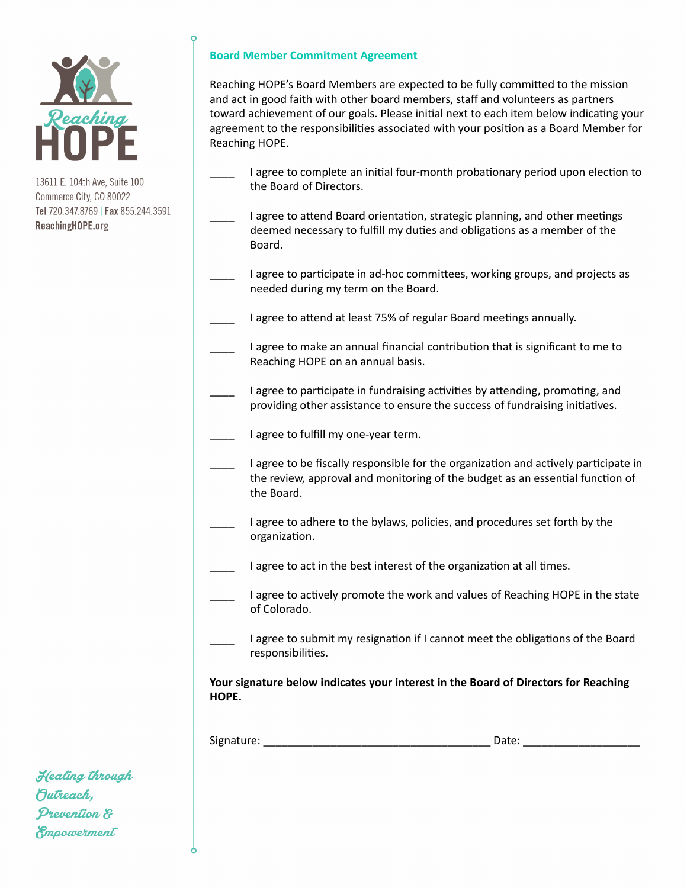

## **Board Member Commitment Agreement**

Reaching HOPE's Board Members are expected to be fully committed to the mission and act in good faith with other board members, staff and volunteers as partners toward achievement of our goals. Please initial next to each item below indicating your agreement to the responsibilities associated with your position as a Board Member for Reaching HOPE.

- I agree to complete an initial four-month probationary period upon election to the Board of Directors.
- I agree to attend Board orientation, strategic planning, and other meetings deemed necessary to fulfill my duties and obligations as a member of the Board.
- I agree to participate in ad-hoc committees, working groups, and projects as needed during my term on the Board.
- I agree to attend at least 75% of regular Board meetings annually.
- I agree to make an annual financial contribution that is significant to me to Reaching HOPE on an annual basis.
- I agree to participate in fundraising activities by attending, promoting, and providing other assistance to ensure the success of fundraising initiatives.
- I agree to fulfill my one-year term.
- I agree to be fiscally responsible for the organization and actively participate in the review, approval and monitoring of the budget as an essential function of the Board.
- I agree to adhere to the bylaws, policies, and procedures set forth by the organization.
- I agree to act in the best interest of the organization at all times.
- I agree to actively promote the work and values of Reaching HOPE in the state of Colorado.
- I agree to submit my resignation if I cannot meet the obligations of the Board responsibilities.

Your signature below indicates your interest in the Board of Directors for Reaching **HOPE.** 

Signature: example of the state of the state of the Date:  $\Box$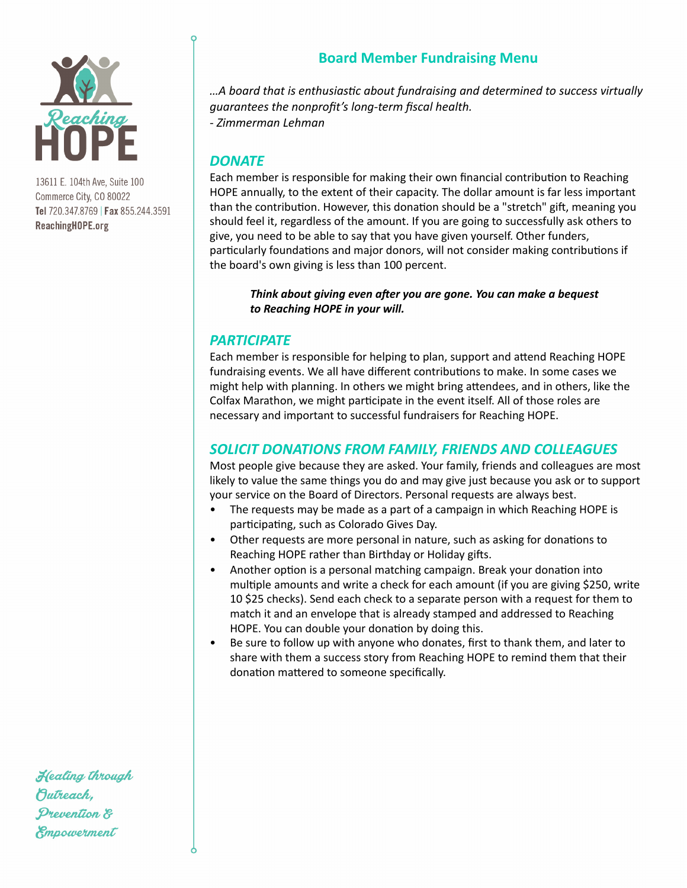

# **Board Member Fundraising Menu**

*…A board that is enthusias4c about fundraising and determined to success virtually guarantees the nonprofit's long-term fiscal health. - Zimmerman Lehman* 

# *DONATE*

Each member is responsible for making their own financial contribution to Reaching HOPE annually, to the extent of their capacity. The dollar amount is far less important than the contribution. However, this donation should be a "stretch" gift, meaning you should feel it, regardless of the amount. If you are going to successfully ask others to give, you need to be able to say that you have given yourself. Other funders, particularly foundations and major donors, will not consider making contributions if the board's own giving is less than 100 percent.

Think about giving even after you are gone. You can make a bequest to Reaching HOPE in your will.

# **PARTICIPATE**

Each member is responsible for helping to plan, support and attend Reaching HOPE fundraising events. We all have different contributions to make. In some cases we might help with planning. In others we might bring attendees, and in others, like the Colfax Marathon, we might participate in the event itself. All of those roles are necessary and important to successful fundraisers for Reaching HOPE.

# SOLICIT DONATIONS FROM FAMILY, FRIENDS AND COLLEAGUES

Most people give because they are asked. Your family, friends and colleagues are most likely to value the same things you do and may give just because you ask or to support your service on the Board of Directors. Personal requests are always best.

- The requests may be made as a part of a campaign in which Reaching HOPE is participating, such as Colorado Gives Day.
- Other requests are more personal in nature, such as asking for donations to Reaching HOPE rather than Birthday or Holiday gifts.
- Another option is a personal matching campaign. Break your donation into multiple amounts and write a check for each amount (if you are giving \$250, write 10 \$25 checks). Send each check to a separate person with a request for them to match it and an envelope that is already stamped and addressed to Reaching HOPE. You can double your donation by doing this.
- Be sure to follow up with anyone who donates, first to thank them, and later to share with them a success story from Reaching HOPE to remind them that their donation mattered to someone specifically.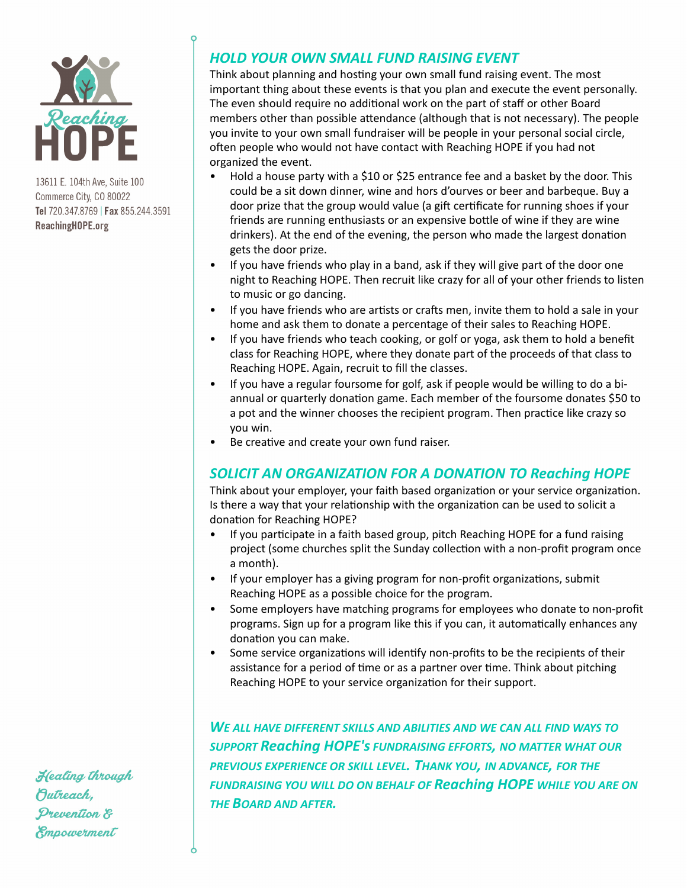

# *HOLD YOUR OWN SMALL FUND RAISING EVENT*

Think about planning and hosting your own small fund raising event. The most important thing about these events is that you plan and execute the event personally. The even should require no additional work on the part of staff or other Board members other than possible attendance (although that is not necessary). The people you invite to your own small fundraiser will be people in your personal social circle, often people who would not have contact with Reaching HOPE if you had not organized the event.

- Hold a house party with a \$10 or \$25 entrance fee and a basket by the door. This could be a sit down dinner, wine and hors d'ourves or beer and barbeque. Buy a door prize that the group would value (a gift certificate for running shoes if your friends are running enthusiasts or an expensive bottle of wine if they are wine drinkers). At the end of the evening, the person who made the largest donation gets the door prize.
- If you have friends who play in a band, ask if they will give part of the door one night to Reaching HOPE. Then recruit like crazy for all of your other friends to listen to music or go dancing.
- If you have friends who are artists or crafts men, invite them to hold a sale in your home and ask them to donate a percentage of their sales to Reaching HOPE.
- If you have friends who teach cooking, or golf or yoga, ask them to hold a benefit class for Reaching HOPE, where they donate part of the proceeds of that class to Reaching HOPE. Again, recruit to fill the classes.
- If you have a regular foursome for golf, ask if people would be willing to do a biannual or quarterly donation game. Each member of the foursome donates \$50 to a pot and the winner chooses the recipient program. Then practice like crazy so you win.
- Be creative and create your own fund raiser.

# **SOLICIT AN ORGANIZATION FOR A DONATION TO Reaching HOPE**

Think about your employer, your faith based organization or your service organization. Is there a way that your relationship with the organization can be used to solicit a donation for Reaching HOPE?

- If you participate in a faith based group, pitch Reaching HOPE for a fund raising project (some churches split the Sunday collection with a non-profit program once a month).
- If your employer has a giving program for non-profit organizations, submit Reaching HOPE as a possible choice for the program.
- Some employers have matching programs for employees who donate to non-profit programs. Sign up for a program like this if you can, it automatically enhances any donation you can make.
- Some service organizations will identify non-profits to be the recipients of their assistance for a period of time or as a partner over time. Think about pitching Reaching HOPE to your service organization for their support.

WE ALL HAVE DIFFERENT SKILLS AND ABILITIES AND WE CAN ALL FIND WAYS TO **SUPPORT Reaching HOPE's FUNDRAISING EFFORTS, NO MATTER WHAT OUR** PREVIOUS EXPERIENCE OR SKILL LEVEL. THANK YOU, IN ADVANCE, FOR THE **FUNDRAISING YOU WILL DO ON BEHALF OF Reaching HOPE WHILE YOU ARE ON** *THE BOARD AND AFTER.*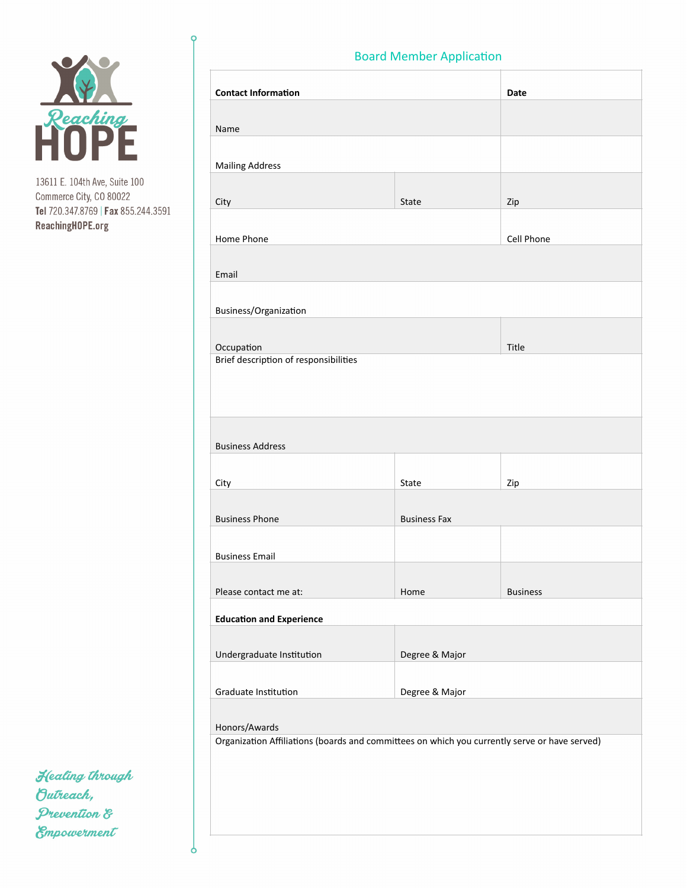

**Contact Information Date** Name Mailing Address City and the City of the City of the City of the City of the City of the City of the City of the City of the City Home Phone **Cell** Phone Email Business/Organization Occupation and Title and Title and Title and Title and Title and Title and Title and Title Brief description of responsibilities **Business Address** City **State** and State and State and State and State and State and State and State and State and State and State Business Phone Business Fax **Business Email** Please contact me at: <br>  $\blacksquare$  Home Business **Education and Experience** Undergraduate Institution Degree & Major Graduate Institution **Degree** & Major Honors/Awards Organization Affiliations (boards and committees on which you currently serve or have served)

Healing through Outreach, Prevention & Empowerment

# **Board Member Application**